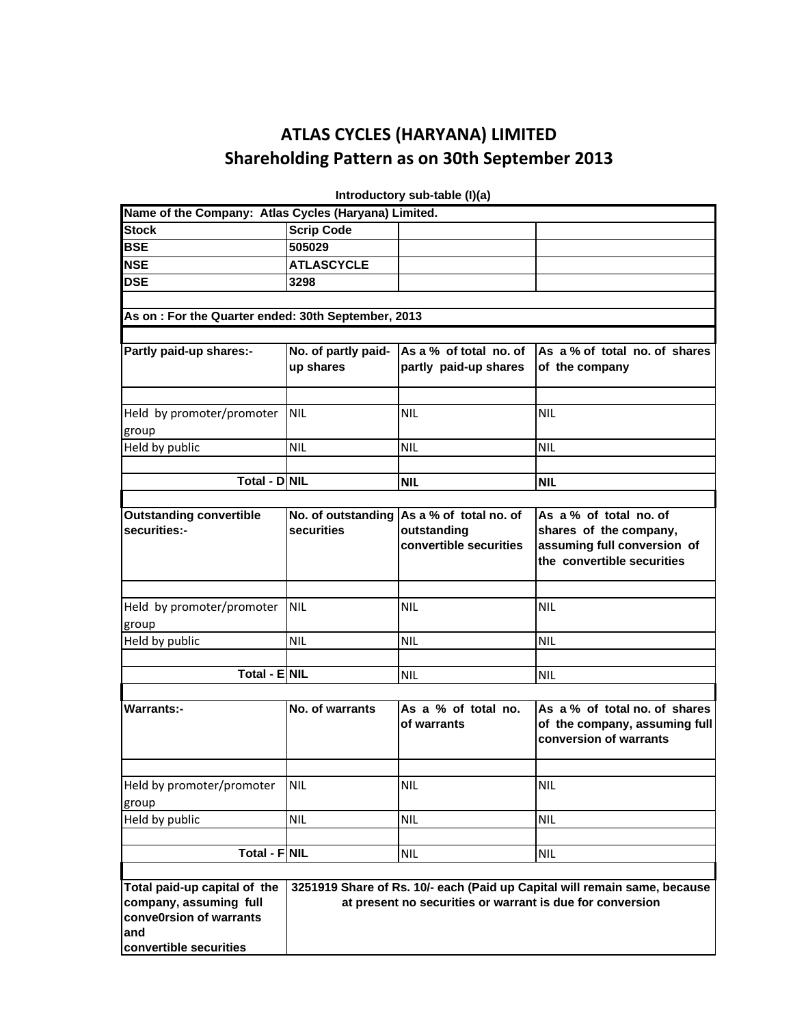## **ATLAS CYCLES (HARYANA) LIMITED Shareholding Pattern as on 30th September 2013**

| Name of the Company: Atlas Cycles (Haryana) Limited.                                                                                                             |                     |                                           |                               |  |  |  |  |  |
|------------------------------------------------------------------------------------------------------------------------------------------------------------------|---------------------|-------------------------------------------|-------------------------------|--|--|--|--|--|
| <b>Stock</b>                                                                                                                                                     | <b>Scrip Code</b>   |                                           |                               |  |  |  |  |  |
| <b>BSE</b>                                                                                                                                                       | 505029              |                                           |                               |  |  |  |  |  |
| <b>NSE</b>                                                                                                                                                       | <b>ATLASCYCLE</b>   |                                           |                               |  |  |  |  |  |
| <b>DSE</b>                                                                                                                                                       | 3298                |                                           |                               |  |  |  |  |  |
|                                                                                                                                                                  |                     |                                           |                               |  |  |  |  |  |
| As on: For the Quarter ended: 30th September, 2013                                                                                                               |                     |                                           |                               |  |  |  |  |  |
|                                                                                                                                                                  |                     |                                           |                               |  |  |  |  |  |
| Partly paid-up shares:-                                                                                                                                          | No. of partly paid- | As a % of total no. of                    | As a % of total no. of shares |  |  |  |  |  |
|                                                                                                                                                                  | up shares           | partly paid-up shares                     | of the company                |  |  |  |  |  |
|                                                                                                                                                                  |                     |                                           |                               |  |  |  |  |  |
|                                                                                                                                                                  |                     |                                           |                               |  |  |  |  |  |
| Held by promoter/promoter                                                                                                                                        | <b>NIL</b>          | <b>NIL</b>                                | <b>NIL</b>                    |  |  |  |  |  |
| group                                                                                                                                                            |                     |                                           |                               |  |  |  |  |  |
| Held by public                                                                                                                                                   | <b>NIL</b>          | <b>NIL</b>                                | <b>NIL</b>                    |  |  |  |  |  |
|                                                                                                                                                                  |                     |                                           |                               |  |  |  |  |  |
| Total - D NIL                                                                                                                                                    |                     | <b>NIL</b>                                | <b>NIL</b>                    |  |  |  |  |  |
|                                                                                                                                                                  |                     |                                           |                               |  |  |  |  |  |
| <b>Outstanding convertible</b>                                                                                                                                   |                     | No. of outstanding As a % of total no. of | As a % of total no. of        |  |  |  |  |  |
| securities:-                                                                                                                                                     | securities          | outstanding                               | shares of the company,        |  |  |  |  |  |
|                                                                                                                                                                  |                     | convertible securities                    | assuming full conversion of   |  |  |  |  |  |
|                                                                                                                                                                  |                     |                                           | the convertible securities    |  |  |  |  |  |
|                                                                                                                                                                  |                     |                                           |                               |  |  |  |  |  |
|                                                                                                                                                                  |                     |                                           |                               |  |  |  |  |  |
| Held by promoter/promoter                                                                                                                                        | <b>NIL</b>          | <b>NIL</b>                                | <b>NIL</b>                    |  |  |  |  |  |
| group                                                                                                                                                            |                     |                                           |                               |  |  |  |  |  |
| Held by public                                                                                                                                                   | <b>NIL</b>          | <b>NIL</b>                                | <b>NIL</b>                    |  |  |  |  |  |
|                                                                                                                                                                  |                     |                                           |                               |  |  |  |  |  |
| Total - ENIL                                                                                                                                                     |                     | <b>NIL</b>                                | <b>NIL</b>                    |  |  |  |  |  |
|                                                                                                                                                                  |                     |                                           |                               |  |  |  |  |  |
| <b>Warrants:-</b>                                                                                                                                                | No. of warrants     | As a % of total no.                       | As a % of total no. of shares |  |  |  |  |  |
|                                                                                                                                                                  |                     | of warrants                               | of the company, assuming full |  |  |  |  |  |
|                                                                                                                                                                  |                     |                                           | conversion of warrants        |  |  |  |  |  |
|                                                                                                                                                                  |                     |                                           |                               |  |  |  |  |  |
| Held by promoter/promoter                                                                                                                                        | <b>NIL</b>          | <b>NIL</b>                                | <b>NIL</b>                    |  |  |  |  |  |
| group                                                                                                                                                            |                     |                                           |                               |  |  |  |  |  |
| Held by public                                                                                                                                                   | <b>NIL</b>          | <b>NIL</b>                                | <b>NIL</b>                    |  |  |  |  |  |
|                                                                                                                                                                  |                     |                                           |                               |  |  |  |  |  |
| Total - FNIL                                                                                                                                                     |                     | NIL                                       | <b>NIL</b>                    |  |  |  |  |  |
|                                                                                                                                                                  |                     |                                           |                               |  |  |  |  |  |
| Total paid-up capital of the                                                                                                                                     |                     |                                           |                               |  |  |  |  |  |
| 3251919 Share of Rs. 10/- each (Paid up Capital will remain same, because<br>company, assuming full<br>at present no securities or warrant is due for conversion |                     |                                           |                               |  |  |  |  |  |
| conve0rsion of warrants                                                                                                                                          |                     |                                           |                               |  |  |  |  |  |
| and                                                                                                                                                              |                     |                                           |                               |  |  |  |  |  |
| convertible securities                                                                                                                                           |                     |                                           |                               |  |  |  |  |  |
|                                                                                                                                                                  |                     |                                           |                               |  |  |  |  |  |

 **Introductory sub-table (I)(a)**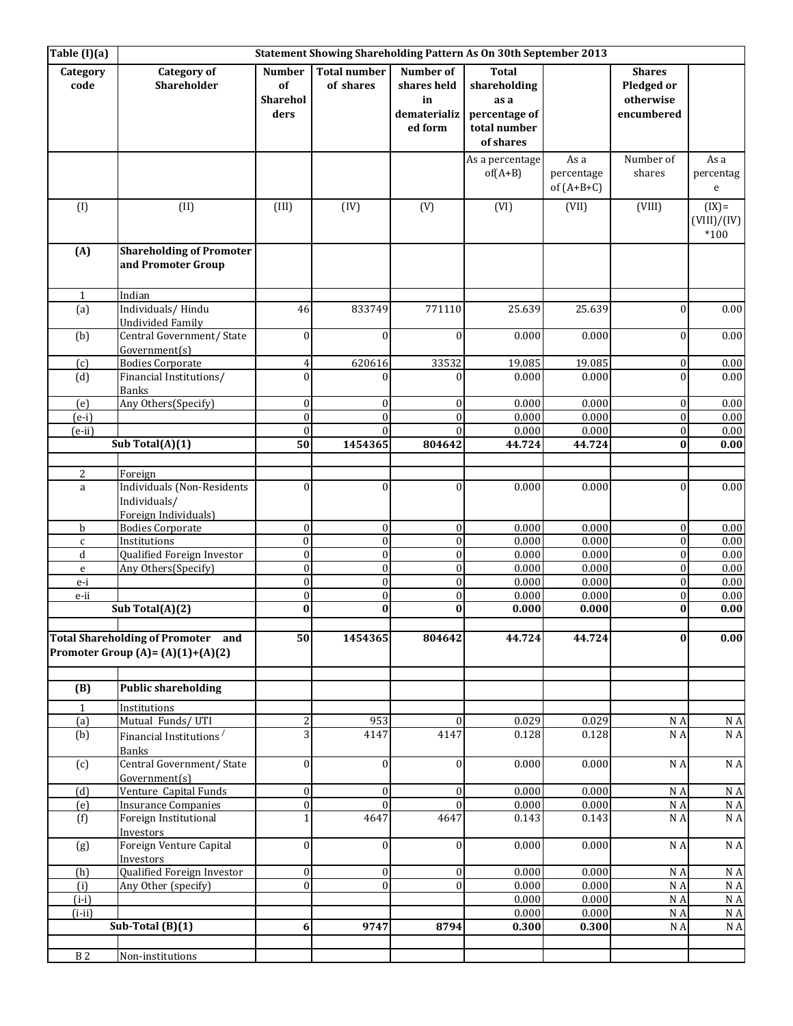| $\overline{\text{Table (I)}(a)}$ |                                                                                  |                                  |                                      |                                | Statement Showing Shareholding Pattern As On 30th September 2013 |                                    |                                          |                                  |
|----------------------------------|----------------------------------------------------------------------------------|----------------------------------|--------------------------------------|--------------------------------|------------------------------------------------------------------|------------------------------------|------------------------------------------|----------------------------------|
| Category<br>code                 | <b>Category of</b><br>Shareholder                                                | <b>Number</b><br>of<br>Sharehol  | <b>Total number</b><br>of shares     | Number of<br>shares held<br>in | <b>Total</b><br>shareholding<br>as a                             |                                    | <b>Shares</b><br>Pledged or<br>otherwise |                                  |
|                                  |                                                                                  | ders                             |                                      | dematerializ<br>ed form        | percentage of<br>total number<br>of shares                       |                                    | encumbered                               |                                  |
|                                  |                                                                                  |                                  |                                      |                                | As a percentage<br>$of(A+B)$                                     | As a<br>percentage<br>of $(A+B+C)$ | Number of<br>shares                      | As a<br>percentag<br>e           |
| (1)                              | (II)                                                                             | (III)                            | (IV)                                 | (V)                            | (VI)                                                             | (VII)                              | (VIII)                                   | $(IX)=$<br>(VIII)/(IV)<br>$*100$ |
| (A)                              | <b>Shareholding of Promoter</b><br>and Promoter Group                            |                                  |                                      |                                |                                                                  |                                    |                                          |                                  |
| 1                                | Indian                                                                           |                                  |                                      |                                |                                                                  |                                    |                                          |                                  |
| (a)                              | Individuals/Hindu<br><b>Undivided Family</b>                                     | 46                               | 833749                               | 771110                         | 25.639                                                           | 25.639                             | $\boldsymbol{0}$                         | 0.00                             |
| (b)                              | Central Government/ State<br>Government(s)                                       | $\mathbf{0}$                     | $\theta$                             | $\theta$                       | 0.000                                                            | 0.000                              | $\mathbf{0}$                             | $0.00\,$                         |
| (c)                              | <b>Bodies Corporate</b>                                                          | $\overline{4}$                   | 620616                               | 33532                          | 19.085                                                           | 19.085                             | $\boldsymbol{0}$                         | 0.00                             |
| (d)                              | Financial Institutions/<br><b>Banks</b>                                          | $\Omega$                         | $\Omega$                             | $\Omega$                       | 0.000                                                            | 0.000                              | $\theta$                                 | 0.00                             |
| (e)                              | Any Others(Specify)                                                              | $\boldsymbol{0}$                 | $\boldsymbol{0}$                     | $\overline{0}$                 | 0.000                                                            | 0.000                              | $\boldsymbol{0}$                         | 0.00                             |
| $(e-i)$                          |                                                                                  | $\Omega$                         | $\theta$                             | $\Omega$                       | 0.000                                                            | 0.000                              | $\boldsymbol{0}$                         | 0.00                             |
| $(e-ii)$                         | Sub Total $(A)(1)$                                                               | $\theta$<br>50                   | $\theta$<br>1454365                  | $\Omega$<br>804642             | 0.000<br>44.724                                                  | 0.000<br>44.724                    | $\boldsymbol{0}$<br>$\bf{0}$             | 0.00<br>0.00                     |
|                                  |                                                                                  |                                  |                                      |                                |                                                                  |                                    |                                          |                                  |
| 2                                | Foreign                                                                          |                                  |                                      |                                |                                                                  |                                    |                                          |                                  |
| $\mathbf{a}$                     | <b>Individuals (Non-Residents</b><br>Individuals/<br>Foreign Individuals)        | $\theta$                         | $\theta$                             | $\theta$                       | 0.000                                                            | 0.000                              | $\boldsymbol{0}$                         | 0.00                             |
| b                                | <b>Bodies Corporate</b>                                                          | $\boldsymbol{0}$                 | $\boldsymbol{0}$                     | $\mathbf{0}$                   | 0.000                                                            | 0.000                              | $\boldsymbol{0}$                         | 0.00                             |
| $\mathsf{C}$                     | Institutions                                                                     | $\theta$                         | $\boldsymbol{0}$                     | $\mathbf{0}$                   | 0.000                                                            | 0.000                              | $\boldsymbol{0}$                         | 0.00                             |
| d<br>e                           | Qualified Foreign Investor<br>Any Others(Specify)                                | $\mathbf{0}$<br>$\boldsymbol{0}$ | $\boldsymbol{0}$<br>$\boldsymbol{0}$ | $\overline{0}$<br>$\mathbf{0}$ | 0.000<br>0.000                                                   | 0.000<br>0.000                     | $\boldsymbol{0}$<br>$\boldsymbol{0}$     | 0.00<br>0.00                     |
| $e-i$                            |                                                                                  | $\mathbf{0}$                     | $\boldsymbol{0}$                     | $\boldsymbol{0}$               | 0.000                                                            | 0.000                              | $\boldsymbol{0}$                         | 0.00                             |
| e-ii                             |                                                                                  | $\overline{0}$                   | $\mathbf{0}$                         | $\mathbf{0}$                   | 0.000                                                            | 0.000                              | $\boldsymbol{0}$                         | 0.00                             |
|                                  | Sub Total $(A)(2)$                                                               | $\bf{0}$                         | $\bf{0}$                             | $\bf{0}$                       | 0.000                                                            | 0.000                              | $\bf{0}$                                 | 0.00                             |
|                                  | <b>Total Shareholding of Promoter and</b><br>Promoter Group (A)= $(A)(1)+(A)(2)$ | 50                               | 1454365                              | 804642                         | 44.724                                                           | 44.724                             | $\bf{0}$                                 | 0.00                             |
| (B)                              | <b>Public shareholding</b>                                                       |                                  |                                      |                                |                                                                  |                                    |                                          |                                  |
| $\mathbf{1}$                     | Institutions                                                                     |                                  |                                      |                                |                                                                  |                                    |                                          |                                  |
| (a)<br>(b)                       | Mutual Funds/UTI<br>Financial Institutions <sup>/</sup><br>Banks                 | 3                                | 953<br>4147                          | $\Omega$<br>4147               | 0.029<br>0.128                                                   | 0.029<br>0.128                     | N A<br>N A                               | N A<br>$\rm N$ A                 |
| (c)                              | Central Government/ State<br>Government(s)                                       | $\boldsymbol{0}$                 | $\boldsymbol{0}$                     | $\mathbf{0}$                   | 0.000                                                            | 0.000                              | N A                                      | $\rm N$ A                        |
| (d)                              | Venture Capital Funds                                                            | $\boldsymbol{0}$                 | $\boldsymbol{0}$                     | $\mathbf{0}$                   | 0.000                                                            | 0.000                              | N A                                      | $\rm N$ A                        |
| (e)                              | <b>Insurance Companies</b>                                                       | $\boldsymbol{0}$                 | $\boldsymbol{0}$                     | $\theta$                       | 0.000                                                            | 0.000                              | N A                                      | N A                              |
| (f)                              | Foreign Institutional<br>Investors                                               | $\mathbf{1}$                     | 4647                                 | 4647                           | 0.143                                                            | 0.143                              | N A                                      | N A                              |
| (g)                              | Foreign Venture Capital<br>Investors                                             | $\boldsymbol{0}$                 | $\boldsymbol{0}$                     | $\mathbf{0}$                   | 0.000                                                            | 0.000                              | N A                                      | $\rm N$ A                        |
| (h)                              | Qualified Foreign Investor                                                       | $\overline{0}$                   | $\boldsymbol{0}$                     | $\mathbf{0}$                   | 0.000                                                            | 0.000                              | N A                                      | $\rm N$ A                        |
| (i)<br>$(i-i)$                   | Any Other (specify)                                                              | $\boldsymbol{0}$                 | $\boldsymbol{0}$                     | $\overline{0}$                 | 0.000<br>0.000                                                   | 0.000<br>0.000                     | N A<br>N A                               | N A<br>$\rm N$ A                 |
| $(i-ii)$                         |                                                                                  |                                  |                                      |                                | 0.000                                                            | 0.000                              | N A                                      | N A                              |
|                                  | Sub-Total $(B)(1)$                                                               | 6                                | 9747                                 | 8794                           | 0.300                                                            | 0.300                              | N A                                      | N A                              |
| $\,$ B $2$                       |                                                                                  |                                  |                                      |                                |                                                                  |                                    |                                          |                                  |
|                                  | Non-institutions                                                                 |                                  |                                      |                                |                                                                  |                                    |                                          |                                  |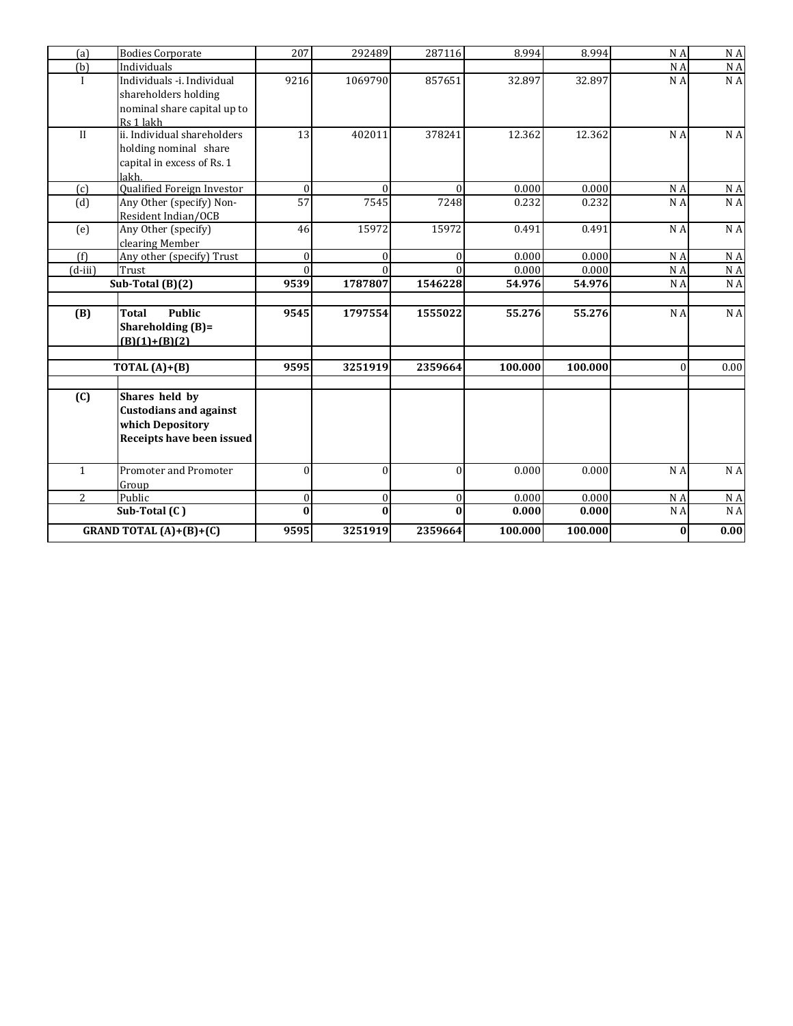| (a)          | <b>Bodies Corporate</b>          | 207          | 292489   | 287116           | 8.994   | 8.994   | N A      | N A            |
|--------------|----------------------------------|--------------|----------|------------------|---------|---------|----------|----------------|
| (b)          | Individuals                      |              |          |                  |         |         | N A      | N A            |
| $\mathbf{I}$ | Individuals -i. Individual       | 9216         | 1069790  | 857651           | 32.897  | 32.897  | N A      | N A            |
|              | shareholders holding             |              |          |                  |         |         |          |                |
|              | nominal share capital up to      |              |          |                  |         |         |          |                |
|              | Rs 1 lakh                        |              |          |                  |         |         |          |                |
| II           | ii. Individual shareholders      | 13           | 402011   | 378241           | 12.362  | 12.362  | N A      | N A            |
|              | holding nominal share            |              |          |                  |         |         |          |                |
|              | capital in excess of Rs. 1       |              |          |                  |         |         |          |                |
|              | lakh                             |              |          |                  |         |         |          |                |
| (c)          | Qualified Foreign Investor       | $\Omega$     | $\Omega$ | $\Omega$         | 0.000   | 0.000   | N A      | $\rm N$ A      |
| (d)          | Any Other (specify) Non-         | 57           | 7545     | 7248             | 0.232   | 0.232   | N A      | N A            |
|              | Resident Indian/OCB              |              |          |                  |         |         |          |                |
| (e)          | Any Other (specify)              | 46           | 15972    | 15972            | 0.491   | 0.491   | N A      | N <sub>A</sub> |
|              | clearing Member                  |              |          |                  |         |         |          |                |
| (f)          | Any other (specify) Trust        | $\mathbf{0}$ | $\Omega$ | $\Omega$         | 0.000   | 0.000   | N A      | N A            |
| $(d-iii)$    | Trust                            | $\Omega$     |          |                  | 0.000   | 0.000   | N A      | N A            |
|              | Sub-Total (B)(2)                 | 9539         | 1787807  | 1546228          | 54.976  | 54.976  | N A      | N A            |
|              |                                  |              |          |                  |         |         |          |                |
| (B)          | <b>Public</b><br><b>Total</b>    | 9545         | 1797554  | 1555022          | 55.276  | 55.276  | N A      | N A            |
|              | Shareholding $(B)$ =             |              |          |                  |         |         |          |                |
|              | $(B)(1)+(B)(2)$                  |              |          |                  |         |         |          |                |
|              |                                  |              |          |                  |         |         |          |                |
|              | TOTAL $(A)+(B)$                  | 9595         | 3251919  | 2359664          | 100.000 | 100.000 | $\theta$ | 0.00           |
| (C)          | Shares held by                   |              |          |                  |         |         |          |                |
|              | <b>Custodians and against</b>    |              |          |                  |         |         |          |                |
|              | which Depository                 |              |          |                  |         |         |          |                |
|              | Receipts have been issued        |              |          |                  |         |         |          |                |
|              |                                  |              |          |                  |         |         |          |                |
| $\mathbf{1}$ | Promoter and Promoter            | $\theta$     | $\theta$ | $\theta$         | 0.000   | 0.000   | N A      | N A            |
|              | Group                            |              |          |                  |         |         |          |                |
| 2            | Public                           | $\mathbf{0}$ | $\theta$ | $\boldsymbol{0}$ | 0.000   | 0.000   | N A      | N A            |
|              | Sub-Total (C)                    | $\bf{0}$     | $\bf{0}$ | $\Omega$         | 0.000   | 0.000   | N A      | NA             |
|              | <b>GRAND TOTAL</b> $(A)+(B)+(C)$ | 9595         | 3251919  | 2359664          | 100.000 | 100.000 | $\bf{0}$ | 0.00           |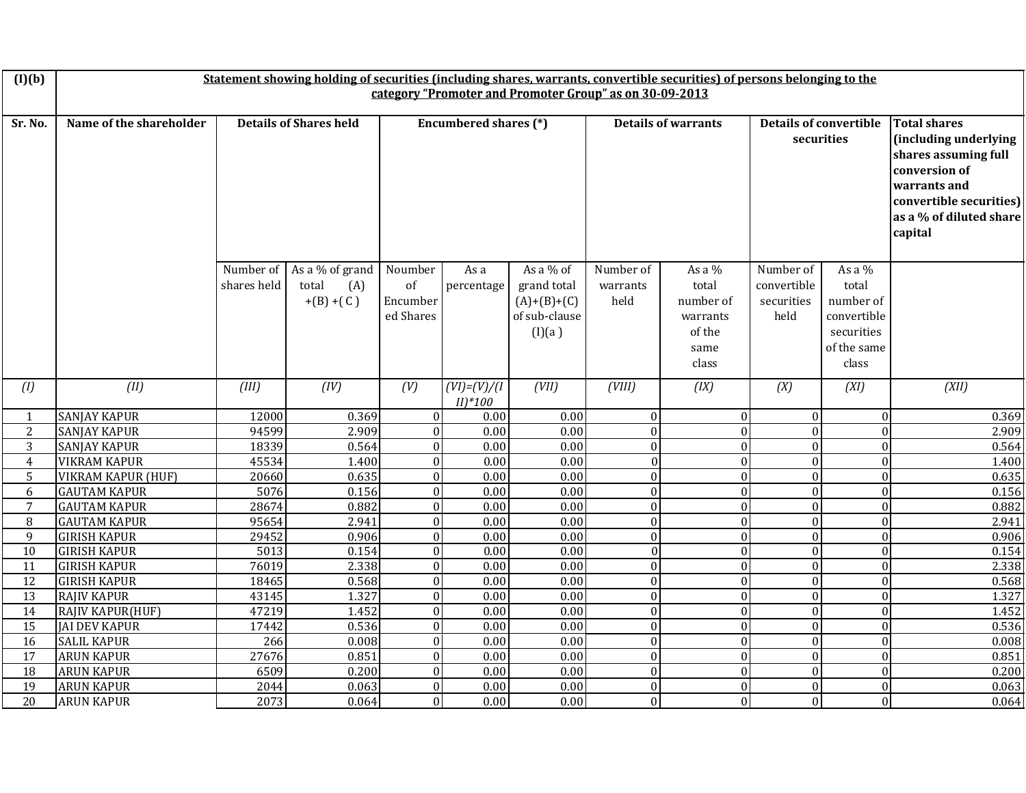| (I)(b)         |                           |                          |                                               |                                                                                                           |                                 | Statement showing holding of securities (including shares, warrants, convertible securities) of persons belonging to the |                                                                                                                                                                        |                                                                       |                                                |                                                                                     |       |  |  |  |  |  |  |
|----------------|---------------------------|--------------------------|-----------------------------------------------|-----------------------------------------------------------------------------------------------------------|---------------------------------|--------------------------------------------------------------------------------------------------------------------------|------------------------------------------------------------------------------------------------------------------------------------------------------------------------|-----------------------------------------------------------------------|------------------------------------------------|-------------------------------------------------------------------------------------|-------|--|--|--|--|--|--|
|                |                           |                          |                                               |                                                                                                           |                                 | category "Promoter and Promoter Group" as on 30-09-2013                                                                  |                                                                                                                                                                        |                                                                       |                                                |                                                                                     |       |  |  |  |  |  |  |
|                |                           |                          |                                               |                                                                                                           |                                 |                                                                                                                          |                                                                                                                                                                        |                                                                       |                                                |                                                                                     |       |  |  |  |  |  |  |
| Sr. No.        | Name of the shareholder   |                          | <b>Details of Shares held</b>                 | <b>Encumbered shares (*)</b><br><b>Details of warrants</b><br><b>Details of convertible</b><br>securities |                                 |                                                                                                                          | <b>Total shares</b><br>(including underlying<br>shares assuming full<br>conversion of<br>warrants and<br>convertible securities)<br>as a % of diluted share<br>capital |                                                                       |                                                |                                                                                     |       |  |  |  |  |  |  |
|                |                           | Number of<br>shares held | As a % of grand<br>total<br>(A)<br>$+(B)+(C)$ | Noumber<br>of<br>Encumber<br>ed Shares                                                                    | As a<br>percentage              | As a % of<br>grand total<br>$(A)+(B)+(C)$<br>of sub-clause<br>(I)(a)                                                     | Number of<br>warrants<br>held                                                                                                                                          | As a $%$<br>total<br>number of<br>warrants<br>of the<br>same<br>class | Number of<br>convertible<br>securities<br>held | As a $%$<br>total<br>number of<br>convertible<br>securities<br>of the same<br>class |       |  |  |  |  |  |  |
| (1)            | (II)                      | (III)                    | (IV)                                          | (V)                                                                                                       | $(VI) = (V) / (I$<br>$II)^*100$ | (VII)                                                                                                                    | (VIII)                                                                                                                                                                 | (IX)                                                                  | (X)                                            | (XI)                                                                                | (XII) |  |  |  |  |  |  |
| $\mathbf{1}$   | <b>SANJAY KAPUR</b>       | 12000                    | 0.369                                         | $\vert$ 0                                                                                                 | 0.00                            | 0.00                                                                                                                     | $\mathbf{0}$                                                                                                                                                           | $\overline{0}$                                                        | $\overline{0}$                                 | $\mathbf{0}$                                                                        | 0.369 |  |  |  |  |  |  |
| 2              | <b>SANJAY KAPUR</b>       | 94599                    | 2.909                                         | $\Omega$                                                                                                  | 0.00                            | 0.00                                                                                                                     | $\mathbf{0}$                                                                                                                                                           | $\mathbf{0}$                                                          | $\Omega$                                       | $\mathbf{0}$                                                                        | 2.909 |  |  |  |  |  |  |
| 3              | <b>SANJAY KAPUR</b>       | 18339                    | 0.564                                         | $\overline{0}$                                                                                            | 0.00                            | $\overline{0.00}$                                                                                                        | $\mathbf{0}$                                                                                                                                                           | $\overline{0}$                                                        | $\overline{0}$                                 | $\boldsymbol{0}$                                                                    | 0.564 |  |  |  |  |  |  |
| $\overline{4}$ | <b>VIKRAM KAPUR</b>       | 45534                    | 1.400                                         | $\boldsymbol{0}$                                                                                          | 0.00                            | 0.00                                                                                                                     | $\boldsymbol{0}$                                                                                                                                                       | $\overline{0}$                                                        | $\overline{0}$                                 | $\boldsymbol{0}$                                                                    | 1.400 |  |  |  |  |  |  |
| 5              | <b>VIKRAM KAPUR (HUF)</b> | 20660                    | 0.635                                         | $\boldsymbol{0}$                                                                                          | 0.00                            | $\overline{0.00}$                                                                                                        | $\boldsymbol{0}$                                                                                                                                                       | $\overline{0}$                                                        | $\overline{0}$                                 | $\boldsymbol{0}$                                                                    | 0.635 |  |  |  |  |  |  |
| 6              | <b>GAUTAM KAPUR</b>       | 5076                     | 0.156                                         | $\boldsymbol{0}$                                                                                          | 0.00                            | 0.00                                                                                                                     | $\boldsymbol{0}$                                                                                                                                                       | $\overline{0}$                                                        | $\theta$                                       | $\boldsymbol{0}$                                                                    | 0.156 |  |  |  |  |  |  |
| $\overline{7}$ | <b>GAUTAM KAPUR</b>       | 28674                    | 0.882                                         | $\boldsymbol{0}$                                                                                          | 0.00                            | 0.00                                                                                                                     | $\boldsymbol{0}$                                                                                                                                                       | $\overline{0}$                                                        | $\overline{0}$                                 | $\boldsymbol{0}$                                                                    | 0.882 |  |  |  |  |  |  |
| 8              | <b>GAUTAM KAPUR</b>       | 95654                    | 2.941                                         | $\theta$                                                                                                  | 0.00                            | 0.00                                                                                                                     | $\mathbf{0}$                                                                                                                                                           | $\overline{0}$                                                        | $\overline{0}$                                 | $\mathbf{0}$                                                                        | 2.941 |  |  |  |  |  |  |
| 9              | <b>GIRISH KAPUR</b>       | 29452                    | 0.906                                         | $\theta$                                                                                                  | 0.00                            | $\overline{0.00}$                                                                                                        | $\mathbf{0}$                                                                                                                                                           | $\overline{0}$                                                        | $\overline{0}$                                 | $\boldsymbol{0}$                                                                    | 0.906 |  |  |  |  |  |  |
| 10             | <b>GIRISH KAPUR</b>       | 5013                     | 0.154                                         | $\Omega$                                                                                                  | 0.00                            | 0.00                                                                                                                     | $\mathbf{0}$                                                                                                                                                           | $\overline{0}$                                                        | $\overline{0}$                                 | $\boldsymbol{0}$                                                                    | 0.154 |  |  |  |  |  |  |
| 11             | <b>GIRISH KAPUR</b>       | 76019                    | 2.338                                         | $\mathbf{0}$                                                                                              | 0.00                            | 0.00                                                                                                                     | $\boldsymbol{0}$                                                                                                                                                       | $\mathbf{0}$                                                          | $\overline{0}$                                 | $\boldsymbol{0}$                                                                    | 2.338 |  |  |  |  |  |  |
| 12             | <b>GIRISH KAPUR</b>       | 18465                    | 0.568                                         | $\boldsymbol{0}$                                                                                          | 0.00                            | 0.00                                                                                                                     | $\boldsymbol{0}$                                                                                                                                                       | $\overline{0}$                                                        | $\overline{0}$                                 | $\boldsymbol{0}$                                                                    | 0.568 |  |  |  |  |  |  |
| 13             | <b>RAJIV KAPUR</b>        | 43145                    | 1.327                                         | $\boldsymbol{0}$                                                                                          | 0.00                            | $\overline{0.00}$                                                                                                        | $\boldsymbol{0}$                                                                                                                                                       | $\overline{0}$                                                        | $\overline{0}$                                 | $\boldsymbol{0}$                                                                    | 1.327 |  |  |  |  |  |  |
| 14             | <b>RAJIV KAPUR(HUF)</b>   | 47219                    | 1.452                                         | $\mathbf{0}$                                                                                              | 0.00                            | 0.00                                                                                                                     | $\boldsymbol{0}$                                                                                                                                                       | $\mathbf{0}$                                                          | $\Omega$                                       | $\mathbf{0}$                                                                        | 1.452 |  |  |  |  |  |  |
| 15             | <b>JAI DEV KAPUR</b>      | 17442                    | 0.536                                         | $\boldsymbol{0}$                                                                                          | 0.00                            | 0.00                                                                                                                     | $\boldsymbol{0}$                                                                                                                                                       | $\overline{0}$                                                        | $\overline{0}$                                 | $\boldsymbol{0}$                                                                    | 0.536 |  |  |  |  |  |  |
| 16             | <b>SALIL KAPUR</b>        | 266                      | 0.008                                         | $\theta$                                                                                                  | 0.00                            | 0.00                                                                                                                     | $\mathbf{0}$                                                                                                                                                           | $\overline{0}$                                                        | $\overline{0}$                                 | $\mathbf{0}$                                                                        | 0.008 |  |  |  |  |  |  |
| 17             | <b>ARUN KAPUR</b>         | 27676                    | 0.851                                         | $\Omega$                                                                                                  | 0.00                            | 0.00                                                                                                                     | $\mathbf{0}$                                                                                                                                                           | $\overline{0}$                                                        | $\overline{0}$                                 | $\boldsymbol{0}$                                                                    | 0.851 |  |  |  |  |  |  |
| 18             | <b>ARUN KAPUR</b>         | 6509                     | 0.200                                         | $\theta$                                                                                                  | 0.00                            | 0.00                                                                                                                     | $\Omega$                                                                                                                                                               | $\overline{0}$                                                        | $\Omega$                                       | $\boldsymbol{0}$                                                                    | 0.200 |  |  |  |  |  |  |
| 19             | <b>ARUN KAPUR</b>         | 2044                     | 0.063                                         | $\overline{0}$                                                                                            | 0.00                            | 0.00                                                                                                                     | $\boldsymbol{0}$                                                                                                                                                       | $\boldsymbol{0}$                                                      | $\overline{0}$                                 | $\boldsymbol{0}$                                                                    | 0.063 |  |  |  |  |  |  |
| 20             | <b>ARUN KAPUR</b>         | 2073                     | 0.064                                         | $\Omega$                                                                                                  | 0.00                            | 0.00                                                                                                                     | $\overline{0}$                                                                                                                                                         | $\overline{0}$                                                        | $\Omega$                                       | $\overline{0}$                                                                      | 0.064 |  |  |  |  |  |  |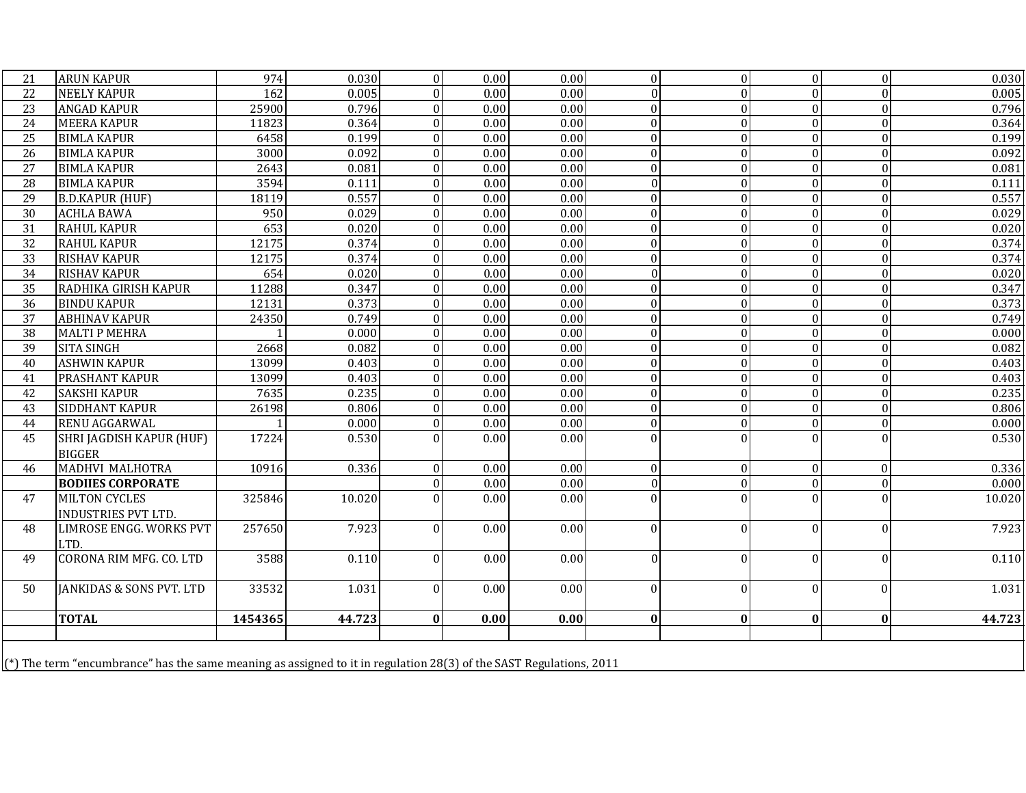| 21              | <b>ARUN KAPUR</b>                                                                                                   | 974              | 0.030  | $\overline{0}$   | 0.00              | 0.00              | $\overline{0}$ | 0              | $\mathbf{0}$   | $\boldsymbol{0}$ | 0.030  |
|-----------------|---------------------------------------------------------------------------------------------------------------------|------------------|--------|------------------|-------------------|-------------------|----------------|----------------|----------------|------------------|--------|
| $\overline{22}$ | <b>NEELY KAPUR</b>                                                                                                  | $\overline{162}$ | 0.005  | $\theta$         | 0.00              | 0.00              | $\Omega$       | $\overline{0}$ | $\Omega$       | $\Omega$         | 0.005  |
| $\overline{23}$ | <b>ANGAD KAPUR</b>                                                                                                  | 25900            | 0.796  | $\theta$         | $\overline{0.00}$ | $\overline{0.00}$ | $\Omega$       | $\overline{0}$ | $\Omega$       | $\Omega$         | 0.796  |
| 24              | <b>MEERA KAPUR</b>                                                                                                  | 11823            | 0.364  | $\Omega$         | $\overline{0.00}$ | 0.00              | $\Omega$       | $\overline{0}$ | $\Omega$       | $\Omega$         | 0.364  |
| 25              | <b>BIMLA KAPUR</b>                                                                                                  | 6458             | 0.199  | $\theta$         | 0.00              | 0.00              | $\Omega$       | $\overline{0}$ | $\overline{0}$ | $\theta$         | 0.199  |
| 26              | <b>BIMLA KAPUR</b>                                                                                                  | 3000             | 0.092  | $\Omega$         | 0.00              | 0.00              | $\Omega$       | $\overline{0}$ | $\Omega$       | $\Omega$         | 0.092  |
| 27              | <b>BIMLA KAPUR</b>                                                                                                  | 2643             | 0.081  | $\Omega$         | 0.00              | 0.00              | $\Omega$       | $\overline{0}$ | $\overline{0}$ | $\theta$         | 0.081  |
| 28              | <b>BIMLA KAPUR</b>                                                                                                  | 3594             | 0.111  | $\theta$         | 0.00              | 0.00              | $\Omega$       | 0              | $\Omega$       | $\theta$         | 0.111  |
| 29              | <b>B.D.KAPUR (HUF)</b>                                                                                              | 18119            | 0.557  | $\boldsymbol{0}$ | 0.00              | 0.00              | $\theta$       | 0              | $\Omega$       | $\theta$         | 0.557  |
| 30              | <b>ACHLA BAWA</b>                                                                                                   | 950              | 0.029  | $\Omega$         | 0.00              | 0.00              | $\Omega$       | $\overline{0}$ | $\overline{0}$ | $\mathbf{0}$     | 0.029  |
| 31              | <b>RAHUL KAPUR</b>                                                                                                  | 653              | 0.020  | $\Omega$         | $\overline{0.00}$ | 0.00              | $\Omega$       | $\overline{0}$ | $\Omega$       | $\Omega$         | 0.020  |
| $\overline{32}$ | <b>RAHUL KAPUR</b>                                                                                                  | 12175            | 0.374  | $\theta$         | $\overline{0.00}$ | 0.00              | $\Omega$       | $\overline{0}$ | $\Omega$       | $\Omega$         | 0.374  |
| 33              | <b>RISHAV KAPUR</b>                                                                                                 | 12175            | 0.374  | $\theta$         | 0.00              | 0.00              | $\theta$       | $\overline{0}$ | $\overline{0}$ | $\theta$         | 0.374  |
| 34              | <b>RISHAV KAPUR</b>                                                                                                 | 654              | 0.020  | $\Omega$         | 0.00              | 0.00              | $\Omega$       | $\overline{0}$ | $\overline{0}$ | $\theta$         | 0.020  |
| 35              | RADHIKA GIRISH KAPUR                                                                                                | 11288            | 0.347  | $\boldsymbol{0}$ | 0.00              | 0.00              | $\theta$       | $\overline{0}$ | $\overline{0}$ | $\boldsymbol{0}$ | 0.347  |
| 36              | <b>BINDU KAPUR</b>                                                                                                  | 12131            | 0.373  | $\mathbf{0}$     | 0.00              | 0.00              | $\Omega$       | $\overline{0}$ | $\Omega$       | $\Omega$         | 0.373  |
| 37              | <b>ABHINAV KAPUR</b>                                                                                                | 24350            | 0.749  | $\Omega$         | 0.00              | 0.00              | $\Omega$       | $\overline{0}$ | $\overline{0}$ | $\Omega$         | 0.749  |
| 38              | <b>MALTI P MEHRA</b>                                                                                                |                  | 0.000  | $\mathbf{0}$     | 0.00              | 0.00              | $\Omega$       | $\Omega$       | $\overline{0}$ | $\overline{0}$   | 0.000  |
| 39              | <b>SITA SINGH</b>                                                                                                   | 2668             | 0.082  | $\theta$         | 0.00              | 0.00              | $\theta$       | $\overline{0}$ | $\Omega$       | $\Omega$         | 0.082  |
| 40              | <b>ASHWIN KAPUR</b>                                                                                                 | 13099            | 0.403  | $\theta$         | $\overline{0.00}$ | 0.00              | $\Omega$       | $\overline{0}$ | $\Omega$       | $\Omega$         | 0.403  |
| 41              | <b>PRASHANT KAPUR</b>                                                                                               | 13099            | 0.403  | $\mathbf{0}$     | 0.00              | 0.00              | $\Omega$       | $\overline{0}$ | $\Omega$       | $\Omega$         | 0.403  |
| 42              | <b>SAKSHI KAPUR</b>                                                                                                 | 7635             | 0.235  | $\boldsymbol{0}$ | 0.00              | 0.00              | $\theta$       | 0              | $\overline{0}$ | $\Omega$         | 0.235  |
| 43              | SIDDHANT KAPUR                                                                                                      | 26198            | 0.806  | $\theta$         | 0.00              | 0.00              | $\Omega$       | $\overline{0}$ | $\overline{0}$ | $\Omega$         | 0.806  |
| 44              | RENU AGGARWAL                                                                                                       |                  | 0.000  | $\mathbf{0}$     | 0.00              | 0.00              | $\mathbf{0}$   | $\overline{0}$ | $\overline{0}$ | $\overline{0}$   | 0.000  |
| 45              | <b>SHRI JAGDISH KAPUR (HUF)</b><br><b>BIGGER</b>                                                                    | 17224            | 0.530  | $\Omega$         | 0.00              | 0.00              | $\Omega$       | $\Omega$       | $\Omega$       | $\Omega$         | 0.530  |
| 46              | <b>MADHVI MALHOTRA</b>                                                                                              | 10916            | 0.336  | $\theta$         | 0.00              | 0.00              | $\theta$       | $\overline{0}$ | $\overline{0}$ | $\mathbf{0}$     | 0.336  |
|                 | <b>BODIIES CORPORATE</b>                                                                                            |                  |        | $\mathbf{0}$     | $\overline{0.00}$ | 0.00              | $\theta$       | $\overline{0}$ | $\overline{0}$ | $\theta$         | 0.000  |
| 47              | <b>MILTON CYCLES</b><br><b>INDUSTRIES PVT LTD.</b>                                                                  | 325846           | 10.020 | $\Omega$         | $\overline{0.00}$ | $\overline{0.00}$ | $\Omega$       | $\Omega$       | $\Omega$       |                  | 10.020 |
| 48              | <b>LIMROSE ENGG. WORKS PVT</b>                                                                                      | 257650           | 7.923  | $\Omega$         | 0.00              | 0.00              | $\theta$       | $\overline{0}$ | $\overline{0}$ | $\Omega$         | 7.923  |
|                 | LTD.                                                                                                                |                  |        |                  |                   |                   |                |                |                |                  |        |
| 49              | CORONA RIM MFG. CO. LTD                                                                                             | 3588             | 0.110  | $\Omega$         | 0.00              | 0.00              | $\Omega$       | $\overline{0}$ | $\Omega$       | $\Omega$         | 0.110  |
| 50              | <b>JANKIDAS &amp; SONS PVT. LTD</b>                                                                                 | 33532            | 1.031  | $\Omega$         | 0.00              | 0.00              | $\theta$       | $\Omega$       | $\overline{0}$ | $\Omega$         | 1.031  |
|                 | <b>TOTAL</b>                                                                                                        | 1454365          | 44.723 | $\bf{0}$         | 0.00              | 0.00              | $\bf{0}$       | $\mathbf{0}$   | $\bf{0}$       | $\bf{0}$         | 44.723 |
|                 | (*) The term "encumbrance" has the same meaning as assigned to it in regulation 28(3) of the SAST Regulations, 2011 |                  |        |                  |                   |                   |                |                |                |                  |        |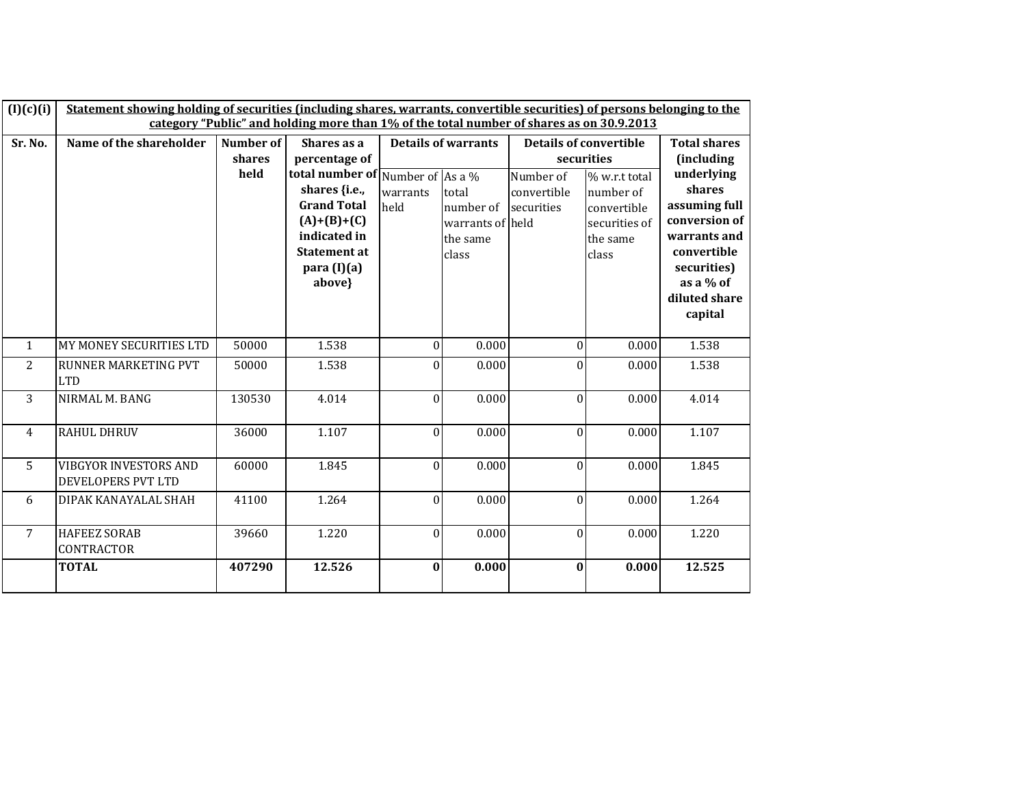| (I)(c)(i)      | Statement showing holding of securities (including shares, warrants, convertible securities) of persons belonging to the |                     |                                                                                                                                                               |                  |                                                             |                                             |                                                                                 |                                                                                                                                               |  |  |
|----------------|--------------------------------------------------------------------------------------------------------------------------|---------------------|---------------------------------------------------------------------------------------------------------------------------------------------------------------|------------------|-------------------------------------------------------------|---------------------------------------------|---------------------------------------------------------------------------------|-----------------------------------------------------------------------------------------------------------------------------------------------|--|--|
|                |                                                                                                                          |                     | category "Public" and holding more than 1% of the total number of shares as on 30.9.2013                                                                      |                  |                                                             |                                             |                                                                                 |                                                                                                                                               |  |  |
| Sr. No.        | Name of the shareholder                                                                                                  | Number of<br>shares | Shares as a<br>percentage of                                                                                                                                  |                  | <b>Details of warrants</b>                                  | <b>Details of convertible</b><br>securities |                                                                                 | <b>Total shares</b><br><i>(including)</i>                                                                                                     |  |  |
|                |                                                                                                                          | held                | total number of Number of As a $\%$<br>shares {i.e.,<br><b>Grand Total</b><br>$(A)+(B)+(C)$<br>indicated in<br><b>Statement at</b><br>para $(I)(a)$<br>above} | warrants<br>held | total<br>number of<br>warrants of held<br>the same<br>class | Number of<br>convertible<br>securities      | % w.r.t total<br>number of<br>convertible<br>securities of<br>the same<br>class | underlying<br>shares<br>assuming full<br>conversion of<br>warrants and<br>convertible<br>securities)<br>as a % of<br>diluted share<br>capital |  |  |
| $\mathbf{1}$   | MY MONEY SECURITIES LTD                                                                                                  | 50000               | 1.538                                                                                                                                                         | $\theta$         | 0.000                                                       | $\theta$                                    | 0.000                                                                           | 1.538                                                                                                                                         |  |  |
| $\overline{2}$ | RUNNER MARKETING PVT<br><b>LTD</b>                                                                                       | 50000               | 1.538                                                                                                                                                         | $\theta$         | 0.000                                                       | $\theta$                                    | 0.000                                                                           | 1.538                                                                                                                                         |  |  |
| 3              | NIRMAL M. BANG                                                                                                           | 130530              | 4.014                                                                                                                                                         | $\theta$         | 0.000                                                       | $\mathbf{0}$                                | 0.000                                                                           | 4.014                                                                                                                                         |  |  |
| $\overline{4}$ | <b>RAHUL DHRUV</b>                                                                                                       | 36000               | 1.107                                                                                                                                                         | $\theta$         | 0.000                                                       | $\mathbf{0}$                                | 0.000                                                                           | 1.107                                                                                                                                         |  |  |
| 5              | <b>VIBGYOR INVESTORS AND</b><br>DEVELOPERS PVT LTD                                                                       | 60000               | 1.845                                                                                                                                                         | $\boldsymbol{0}$ | 0.000                                                       | $\mathbf{0}$                                | 0.000                                                                           | 1.845                                                                                                                                         |  |  |
| 6              | DIPAK KANAYALAL SHAH                                                                                                     | 41100               | 1.264                                                                                                                                                         | $\theta$         | 0.000                                                       | $\mathbf{0}$                                | 0.000                                                                           | 1.264                                                                                                                                         |  |  |
| $\overline{7}$ | <b>HAFEEZ SORAB</b><br>CONTRACTOR                                                                                        | 39660               | 1.220                                                                                                                                                         | $\mathbf{0}$     | 0.000                                                       | $\overline{0}$                              | 0.000                                                                           | 1.220                                                                                                                                         |  |  |
|                | <b>TOTAL</b>                                                                                                             | 407290              | 12.526                                                                                                                                                        | $\bf{0}$         | 0.000                                                       | $\bf{0}$                                    | 0.000                                                                           | 12.525                                                                                                                                        |  |  |